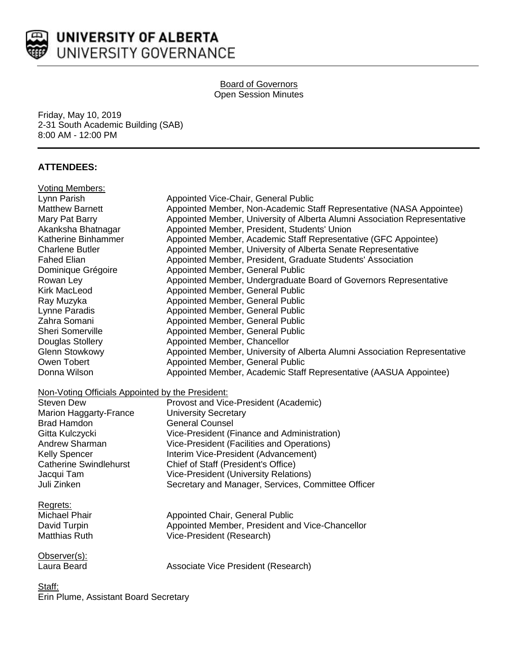

### Board of Governors Open Session Minutes

Friday, May 10, 2019 2-31 South Academic Building (SAB) 8:00 AM - 12:00 PM

# **ATTENDEES:**

| <b>Voting Members:</b>                           |                                                                           |
|--------------------------------------------------|---------------------------------------------------------------------------|
| Lynn Parish                                      | Appointed Vice-Chair, General Public                                      |
| <b>Matthew Barnett</b>                           | Appointed Member, Non-Academic Staff Representative (NASA Appointee)      |
| Mary Pat Barry                                   | Appointed Member, University of Alberta Alumni Association Representative |
| Akanksha Bhatnagar                               | Appointed Member, President, Students' Union                              |
| Katherine Binhammer                              | Appointed Member, Academic Staff Representative (GFC Appointee)           |
| <b>Charlene Butler</b>                           | Appointed Member, University of Alberta Senate Representative             |
| <b>Fahed Elian</b>                               | Appointed Member, President, Graduate Students' Association               |
| Dominique Grégoire                               | Appointed Member, General Public                                          |
| Rowan Ley                                        | Appointed Member, Undergraduate Board of Governors Representative         |
| <b>Kirk MacLeod</b>                              | Appointed Member, General Public                                          |
| Ray Muzyka                                       | Appointed Member, General Public                                          |
| Lynne Paradis                                    | Appointed Member, General Public                                          |
| Zahra Somani                                     | Appointed Member, General Public                                          |
| Sheri Somerville                                 | Appointed Member, General Public                                          |
| Douglas Stollery                                 | Appointed Member, Chancellor                                              |
| <b>Glenn Stowkowy</b>                            | Appointed Member, University of Alberta Alumni Association Representative |
| Owen Tobert                                      | Appointed Member, General Public                                          |
| Donna Wilson                                     | Appointed Member, Academic Staff Representative (AASUA Appointee)         |
| Non-Voting Officials Appointed by the President: |                                                                           |
| <b>Steven Dew</b>                                | Provost and Vice-President (Academic)                                     |
| Marion Haggarty-France                           | <b>University Secretary</b>                                               |
| <b>Brad Hamdon</b>                               | <b>General Counsel</b>                                                    |
| Gitta Kulczycki                                  | Vice-President (Finance and Administration)                               |
| Andrew Sharman                                   | Vice-President (Facilities and Operations)                                |
| Kelly Spencer                                    | Interim Vice-President (Advancement)                                      |
| <b>Catherine Swindlehurst</b>                    | Chief of Staff (President's Office)                                       |
| Jacqui Tam                                       | <b>Vice-President (University Relations)</b>                              |
| Juli Zinken                                      | Secretary and Manager, Services, Committee Officer                        |
| Regrets:                                         |                                                                           |
| Michael Phair                                    | <b>Appointed Chair, General Public</b>                                    |
| David Turpin                                     | Appointed Member, President and Vice-Chancellor                           |
| Matthias Ruth                                    | Vice-President (Research)                                                 |
| Observer(s):                                     |                                                                           |
| Laura Beard                                      | Associate Vice President (Research)                                       |
| Staff:                                           |                                                                           |

Erin Plume, Assistant Board Secretary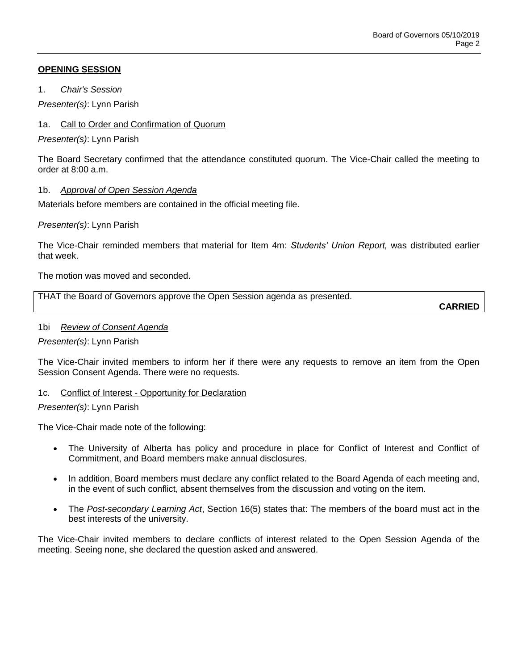# **OPENING SESSION**

1. *Chair's Session*

*Presenter(s)*: Lynn Parish

# 1a. Call to Order and Confirmation of Quorum

*Presenter(s)*: Lynn Parish

The Board Secretary confirmed that the attendance constituted quorum. The Vice-Chair called the meeting to order at  $8:00$  a.m.

# 1b. *Approval of Open Session Agenda*

Materials before members are contained in the official meeting file.

### *Presenter(s)*: Lynn Parish

The Vice-Chair reminded members that material for Item 4m: *Students' Union Report,* was distributed earlier that week.

The motion was moved and seconded.

| THAT the Board of Governors approve the Open Session agenda as presented. |  |
|---------------------------------------------------------------------------|--|

**CARRIED**

### 1bi *Review of Consent Agenda*

*Presenter(s)*: Lynn Parish

The Vice-Chair invited members to inform her if there were any requests to remove an item from the Open Session Consent Agenda. There were no requests.

### 1c. Conflict of Interest - Opportunity for Declaration

### *Presenter(s)*: Lynn Parish

The Vice-Chair made note of the following:

- The University of Alberta has policy and procedure in place for Conflict of Interest and Conflict of Commitment, and Board members make annual disclosures.
- In addition, Board members must declare any conflict related to the Board Agenda of each meeting and, in the event of such conflict, absent themselves from the discussion and voting on the item.
- The *Post-secondary Learning Act*, Section 16(5) states that: The members of the board must act in the best interests of the university.

The Vice-Chair invited members to declare conflicts of interest related to the Open Session Agenda of the meeting. Seeing none, she declared the question asked and answered.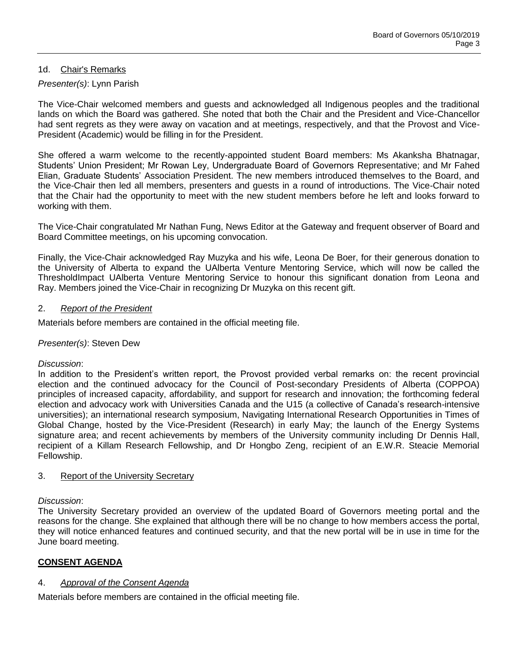## 1d. Chair's Remarks

# *Presenter(s)*: Lynn Parish

The Vice-Chair welcomed members and guests and acknowledged all Indigenous peoples and the traditional lands on which the Board was gathered. She noted that both the Chair and the President and Vice-Chancellor had sent regrets as they were away on vacation and at meetings, respectively, and that the Provost and Vice-President (Academic) would be filling in for the President.

She offered a warm welcome to the recently-appointed student Board members: Ms Akanksha Bhatnagar, Students' Union President; Mr Rowan Ley, Undergraduate Board of Governors Representative; and Mr Fahed Elian, Graduate Students' Association President. The new members introduced themselves to the Board, and the Vice-Chair then led all members, presenters and guests in a round of introductions. The Vice-Chair noted that the Chair had the opportunity to meet with the new student members before he left and looks forward to working with them.

The Vice-Chair congratulated Mr Nathan Fung, News Editor at the Gateway and frequent observer of Board and Board Committee meetings, on his upcoming convocation.

Finally, the Vice-Chair acknowledged Ray Muzyka and his wife, Leona De Boer, for their generous donation to the University of Alberta to expand the UAlberta Venture Mentoring Service, which will now be called the ThresholdImpact UAlberta Venture Mentoring Service to honour this significant donation from Leona and Ray. Members joined the Vice-Chair in recognizing Dr Muzyka on this recent gift.

#### 2. *Report of the President*

Materials before members are contained in the official meeting file.

### *Presenter(s)*: Steven Dew

### *Discussion*:

In addition to the President's written report, the Provost provided verbal remarks on: the recent provincial election and the continued advocacy for the Council of Post-secondary Presidents of Alberta (COPPOA) principles of increased capacity, affordability, and support for research and innovation; the forthcoming federal election and advocacy work with Universities Canada and the U15 (a collective of Canada's research-intensive universities); an international research symposium, Navigating International Research Opportunities in Times of Global Change, hosted by the Vice-President (Research) in early May; the launch of the Energy Systems signature area; and recent achievements by members of the University community including Dr Dennis Hall, recipient of a Killam Research Fellowship, and Dr Hongbo Zeng, recipient of an E.W.R. Steacie Memorial Fellowship.

### 3. Report of the University Secretary

### *Discussion*:

The University Secretary provided an overview of the updated Board of Governors meeting portal and the reasons for the change. She explained that although there will be no change to how members access the portal, they will notice enhanced features and continued security, and that the new portal will be in use in time for the June board meeting.

### **CONSENT AGENDA**

### 4. *Approval of the Consent Agenda*

Materials before members are contained in the official meeting file.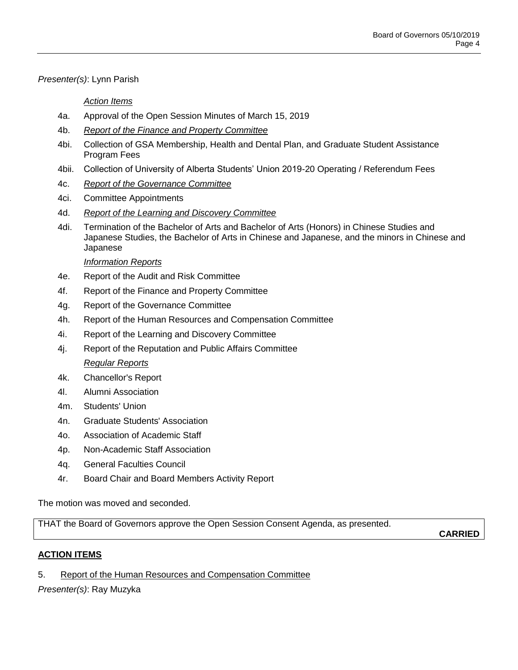# *Presenter(s)*: Lynn Parish

# *Action Items*

- 4a. Approval of the Open Session Minutes of March 15, 2019
- 4b. *Report of the Finance and Property Committee*
- 4bi. Collection of GSA Membership, Health and Dental Plan, and Graduate Student Assistance Program Fees
- 4bii. Collection of University of Alberta Students' Union 2019-20 Operating / Referendum Fees
- 4c. *Report of the Governance Committee*
- 4ci. Committee Appointments
- 4d. *Report of the Learning and Discovery Committee*
- 4di. Termination of the Bachelor of Arts and Bachelor of Arts (Honors) in Chinese Studies and Japanese Studies, the Bachelor of Arts in Chinese and Japanese, and the minors in Chinese and Japanese

# *Information Reports*

- 4e. Report of the Audit and Risk Committee
- 4f. Report of the Finance and Property Committee
- 4g. Report of the Governance Committee
- 4h. Report of the Human Resources and Compensation Committee
- 4i. Report of the Learning and Discovery Committee
- 4j. Report of the Reputation and Public Affairs Committee *Regular Reports*
- 4k. Chancellor's Report
- 4l. Alumni Association
- 4m. Students' Union
- 4n. Graduate Students' Association
- 4o. Association of Academic Staff
- 4p. Non-Academic Staff Association
- 4q. General Faculties Council
- 4r. Board Chair and Board Members Activity Report

The motion was moved and seconded.

THAT the Board of Governors approve the Open Session Consent Agenda, as presented.

**CARRIED**

# **ACTION ITEMS**

5. Report of the Human Resources and Compensation Committee

*Presenter(s)*: Ray Muzyka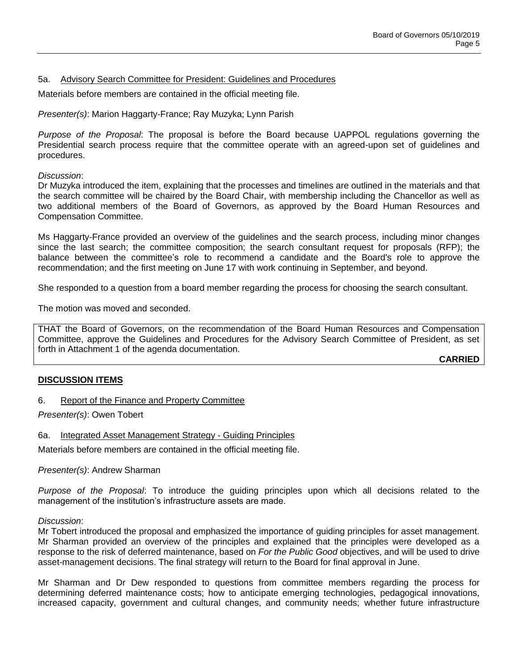### 5a. Advisory Search Committee for President: Guidelines and Procedures

Materials before members are contained in the official meeting file.

*Presenter(s)*: Marion Haggarty-France; Ray Muzyka; Lynn Parish

*Purpose of the Proposal*: The proposal is before the Board because UAPPOL regulations governing the Presidential search process require that the committee operate with an agreed-upon set of guidelines and procedures.

*Discussion*:

Dr Muzyka introduced the item, explaining that the processes and timelines are outlined in the materials and that the search committee will be chaired by the Board Chair, with membership including the Chancellor as well as two additional members of the Board of Governors, as approved by the Board Human Resources and Compensation Committee.

Ms Haggarty-France provided an overview of the guidelines and the search process, including minor changes since the last search; the committee composition; the search consultant request for proposals (RFP); the balance between the committee's role to recommend a candidate and the Board's role to approve the recommendation; and the first meeting on June 17 with work continuing in September, and beyond.

She responded to a question from a board member regarding the process for choosing the search consultant.

The motion was moved and seconded.

THAT the Board of Governors, on the recommendation of the Board Human Resources and Compensation Committee, approve the Guidelines and Procedures for the Advisory Search Committee of President, as set forth in Attachment 1 of the agenda documentation.

**CARRIED**

### **DISCUSSION ITEMS**

6. Report of the Finance and Property Committee

*Presenter(s)*: Owen Tobert

6a. Integrated Asset Management Strategy - Guiding Principles

Materials before members are contained in the official meeting file.

*Presenter(s)*: Andrew Sharman

*Purpose of the Proposal*: To introduce the guiding principles upon which all decisions related to the management of the institution's infrastructure assets are made.

#### *Discussion*:

Mr Tobert introduced the proposal and emphasized the importance of guiding principles for asset management. Mr Sharman provided an overview of the principles and explained that the principles were developed as a response to the risk of deferred maintenance, based on *For the Public Good* objectives, and will be used to drive asset-management decisions. The final strategy will return to the Board for final approval in June.

Mr Sharman and Dr Dew responded to questions from committee members regarding the process for determining deferred maintenance costs; how to anticipate emerging technologies, pedagogical innovations, increased capacity, government and cultural changes, and community needs; whether future infrastructure